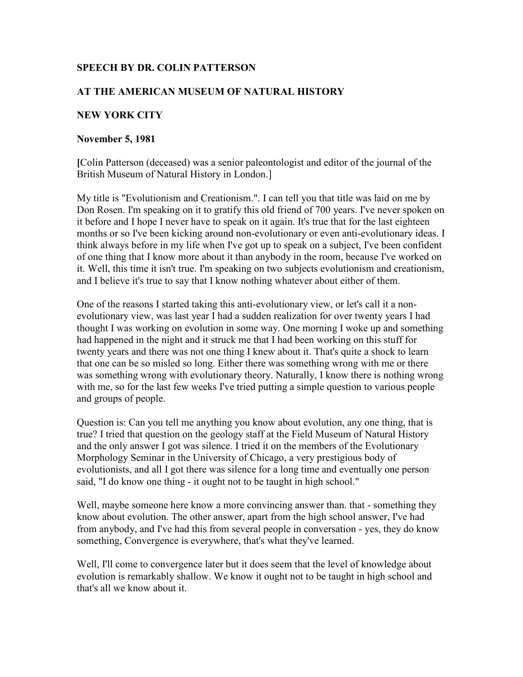# SPEECH BY DR. COLIN PATTERSON

# AT THE AMERICAN MUSEUM OF NATURAL HISTORY

## NEW YORK CITY

### November 5, 1981

[Colin Patterson (deceased) was a senior paleontologist and editor of the journal of the British Museum of Natural History in London.]

My title is "Evolutionism and Creationism.". I can tell you that title was laid on me by Don Rosen. I'm speaking on it to gratify this old friend of 700 years. I've never spoken on it before and I hope I never have to speak on it again. It's true that for the last eighteen months or so I've been kicking around non-evolutionary or even anti-evolutionary ideas. I think always before in my life when I've got up to speak on a subject, I've been confident of one thing that I know more about it than anybody in the room, because I've worked on it. Well, this time it isn't true. I'm speaking on two subjects evolutionism and creationism, and I believe it's true to say that I know nothing whatever about either of them.

One of the reasons I started taking this anti-evolutionary view, or let's call it a nonevolutionary view, was last year I had a sudden realization for over twenty years I had thought I was working on evolution in some way. One morning I woke up and something had happened in the night and it struck me that I had been working on this stuff for twenty years and there was not one thing I knew about it. That's quite a shock to learn that one can be so misled so long. Either there was something wrong with me or there was something wrong with evolutionary theory. Naturally, I know there is nothing wrong with me, so for the last few weeks I've tried putting a simple question to various people and groups of people.

Question is: Can you tell me anything you know about evolution, any one thing, that is true? I tried that question on the geology staff at the Field Museum of Natural History and the only answer I got was silence. I tried it on the members of the Evolutionary Morphology Seminar in the University of Chicago, a very prestigious body of evolutionists, and all I got there was silence for a long time and eventually one person said, "I do know one thing - it ought not to be taught in high school."

Well, maybe someone here know a more convincing answer than, that - something they know about evolution. The other answer, apart from the high school answer, I've had from anybody, and I've had this from several people in conversation - yes, they do know something, Convergence is everywhere, that's what they've learned.

Well, I'll come to convergence later but it does seem that the level of knowledge about evolution is remarkably shallow. We know it ought not to be taught in high school and that's all we know about it.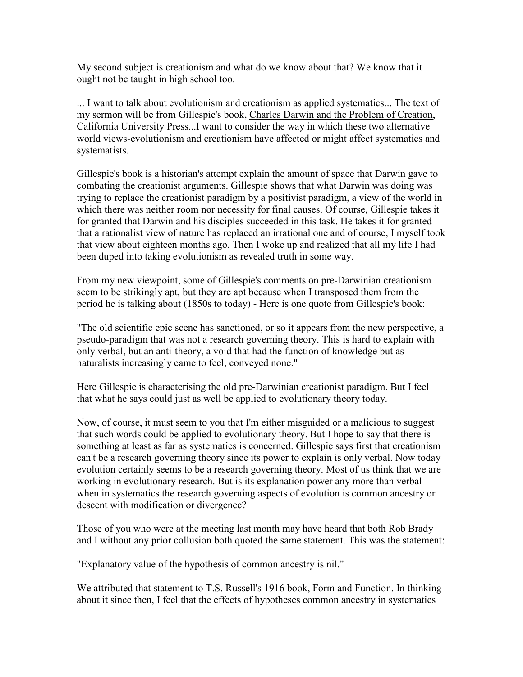My second subject is creationism and what do we know about that? We know that it ought not be taught in high school too.

... I want to talk about evolutionism and creationism as applied systematics... The text of my sermon will be from Gillespie's book, Charles Darwin and the Problem of Creation, California University Press...I want to consider the way in which these two alternative world views-evolutionism and creationism have affected or might affect systematics and systematists.

Gillespie's book is a historian's attempt explain the amount of space that Darwin gave to combating the creationist arguments. Gillespie shows that what Darwin was doing was trying to replace the creationist paradigm by a positivist paradigm, a view of the world in which there was neither room nor necessity for final causes. Of course, Gillespie takes it for granted that Darwin and his disciples succeeded in this task. He takes it for granted that a rationalist view of nature has replaced an irrational one and of course, I myself took that view about eighteen months ago. Then I woke up and realized that all my life I had been duped into taking evolutionism as revealed truth in some way.

From my new viewpoint, some of Gillespie's comments on pre-Darwinian creationism seem to be strikingly apt, but they are apt because when I transposed them from the period he is talking about (1850s to today) - Here is one quote from Gillespie's book:

"The old scientific epic scene has sanctioned, or so it appears from the new perspective, a pseudo-paradigm that was not a research governing theory. This is hard to explain with only verbal, but an anti-theory, a void that had the function of knowledge but as naturalists increasingly came to feel, conveyed none."

Here Gillespie is characterising the old pre-Darwinian creationist paradigm. But I feel that what he says could just as well be applied to evolutionary theory today.

Now, of course, it must seem to you that I'm either misguided or a malicious to suggest that such words could be applied to evolutionary theory. But I hope to say that there is something at least as far as systematics is concerned. Gillespie says first that creationism can't be a research governing theory since its power to explain is only verbal. Now today evolution certainly seems to be a research governing theory. Most of us think that we are working in evolutionary research. But is its explanation power any more than verbal when in systematics the research governing aspects of evolution is common ancestry or descent with modification or divergence?

Those of you who were at the meeting last month may have heard that both Rob Brady and I without any prior collusion both quoted the same statement. This was the statement:

"Explanatory value of the hypothesis of common ancestry is nil."

We attributed that statement to T.S. Russell's 1916 book, Form and Function. In thinking about it since then, I feel that the effects of hypotheses common ancestry in systematics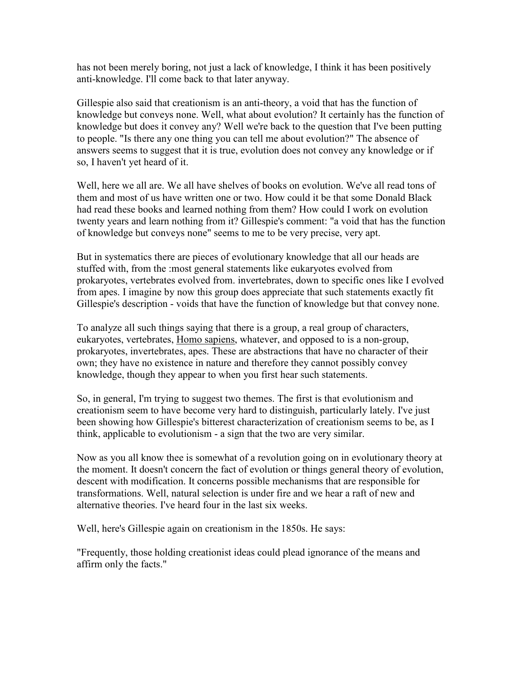has not been merely boring, not just a lack of knowledge, I think it has been positively anti-knowledge. I'll come back to that later anyway.

Gillespie also said that creationism is an anti-theory, a void that has the function of knowledge but conveys none. Well, what about evolution? It certainly has the function of knowledge but does it convey any? Well we're back to the question that I've been putting to people. "Is there any one thing you can tell me about evolution?" The absence of answers seems to suggest that it is true, evolution does not convey any knowledge or if so, I haven't yet heard of it.

Well, here we all are. We all have shelves of books on evolution. We've all read tons of them and most of us have written one or two. How could it be that some Donald Black had read these books and learned nothing from them? How could I work on evolution twenty years and learn nothing from it? Gillespie's comment: "a void that has the function of knowledge but conveys none" seems to me to be very precise, very apt.

But in systematics there are pieces of evolutionary knowledge that all our heads are stuffed with, from the :most general statements like eukaryotes evolved from prokaryotes, vertebrates evolved from. invertebrates, down to specific ones like I evolved from apes. I imagine by now this group does appreciate that such statements exactly fit Gillespie's description - voids that have the function of knowledge but that convey none.

To analyze all such things saying that there is a group, a real group of characters, eukaryotes, vertebrates, Homo sapiens, whatever, and opposed to is a non-group, prokaryotes, invertebrates, apes. These are abstractions that have no character of their own; they have no existence in nature and therefore they cannot possibly convey knowledge, though they appear to when you first hear such statements.

So, in general, I'm trying to suggest two themes. The first is that evolutionism and creationism seem to have become very hard to distinguish, particularly lately. I've just been showing how Gillespie's bitterest characterization of creationism seems to be, as I think, applicable to evolutionism - a sign that the two are very similar.

Now as you all know thee is somewhat of a revolution going on in evolutionary theory at the moment. It doesn't concern the fact of evolution or things general theory of evolution, descent with modification. It concerns possible mechanisms that are responsible for transformations. Well, natural selection is under fire and we hear a raft of new and alternative theories. I've heard four in the last six weeks.

Well, here's Gillespie again on creationism in the 1850s. He says:

"Frequently, those holding creationist ideas could plead ignorance of the means and affirm only the facts."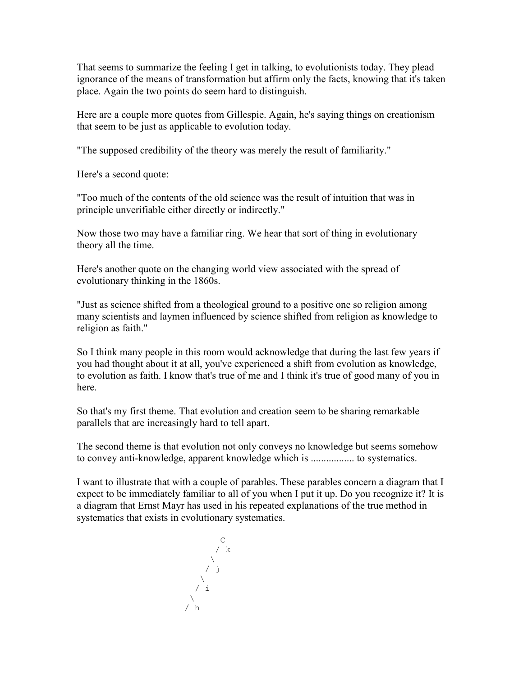That seems to summarize the feeling I get in talking, to evolutionists today. They plead ignorance of the means of transformation but affirm only the facts, knowing that it's taken place. Again the two points do seem hard to distinguish.

Here are a couple more quotes from Gillespie. Again, he's saying things on creationism that seem to be just as applicable to evolution today.

"The supposed credibility of the theory was merely the result of familiarity."

Here's a second quote:

"Too much of the contents of the old science was the result of intuition that was in principle unverifiable either directly or indirectly."

Now those two may have a familiar ring. We hear that sort of thing in evolutionary theory all the time.

Here's another quote on the changing world view associated with the spread of evolutionary thinking in the 1860s.

"Just as science shifted from a theological ground to a positive one so religion among many scientists and laymen influenced by science shifted from religion as knowledge to religion as faith."

So I think many people in this room would acknowledge that during the last few years if you had thought about it at all, you've experienced a shift from evolution as knowledge, to evolution as faith. I know that's true of me and I think it's true of good many of you in here.

So that's my first theme. That evolution and creation seem to be sharing remarkable parallels that are increasingly hard to tell apart.

The second theme is that evolution not only conveys no knowledge but seems somehow to convey anti-knowledge, apparent knowledge which is ................. to systematics.

I want to illustrate that with a couple of parables. These parables concern a diagram that I expect to be immediately familiar to all of you when I put it up. Do you recognize it? It is a diagram that Ernst Mayr has used in his repeated explanations of the true method in systematics that exists in evolutionary systematics.

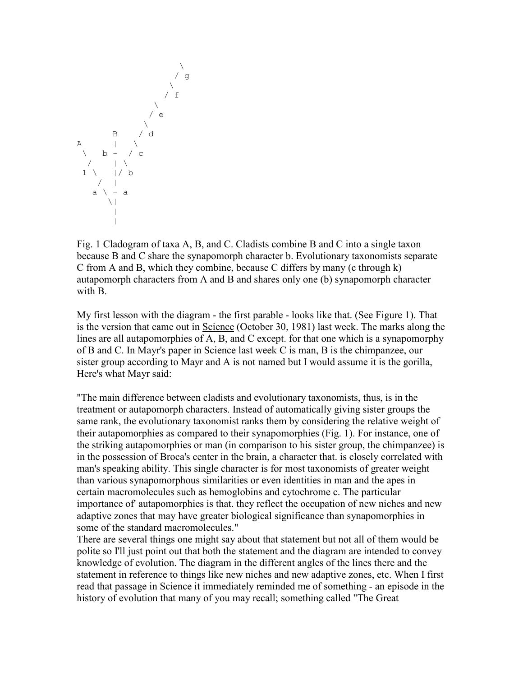

Fig. 1 Cladogram of taxa A, B, and C. Cladists combine B and C into a single taxon because B and C share the synapomorph character b. Evolutionary taxonomists separate C from A and B, which they combine, because C differs by many (c through k) autapomorph characters from A and B and shares only one (b) synapomorph character with B.

My first lesson with the diagram - the first parable - looks like that. (See Figure 1). That is the version that came out in Science (October 30, 1981) last week. The marks along the lines are all autapomorphies of A, B, and C except. for that one which is a synapomorphy of B and C. In Mayr's paper in Science last week C is man, B is the chimpanzee, our sister group according to Mayr and A is not named but I would assume it is the gorilla, Here's what Mayr said:

"The main difference between cladists and evolutionary taxonomists, thus, is in the treatment or autapomorph characters. Instead of automatically giving sister groups the same rank, the evolutionary taxonomist ranks them by considering the relative weight of their autapomorphies as compared to their synapomorphies (Fig. 1). For instance, one of the striking autapomorphies or man (in comparison to his sister group, the chimpanzee) is in the possession of Broca's center in the brain, a character that. is closely correlated with man's speaking ability. This single character is for most taxonomists of greater weight than various synapomorphous similarities or even identities in man and the apes in certain macromolecules such as hemoglobins and cytochrome c. The particular importance of' autapomorphies is that. they reflect the occupation of new niches and new adaptive zones that may have greater biological significance than synapomorphies in some of the standard macromolecules."

There are several things one might say about that statement but not all of them would be polite so I'll just point out that both the statement and the diagram are intended to convey knowledge of evolution. The diagram in the different angles of the lines there and the statement in reference to things like new niches and new adaptive zones, etc. When I first read that passage in Science it immediately reminded me of something - an episode in the history of evolution that many of you may recall; something called "The Great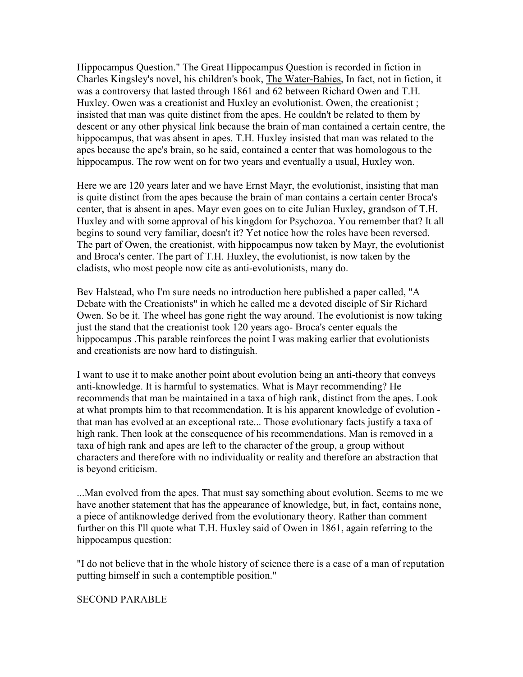Hippocampus Question." The Great Hippocampus Question is recorded in fiction in Charles Kingsley's novel, his children's book, The Water-Babies, In fact, not in fiction, it was a controversy that lasted through 1861 and 62 between Richard Owen and T.H. Huxley. Owen was a creationist and Huxley an evolutionist. Owen, the creationist ; insisted that man was quite distinct from the apes. He couldn't be related to them by descent or any other physical link because the brain of man contained a certain centre, the hippocampus, that was absent in apes. T.H. Huxley insisted that man was related to the apes because the ape's brain, so he said, contained a center that was homologous to the hippocampus. The row went on for two years and eventually a usual, Huxley won.

Here we are 120 years later and we have Ernst Mayr, the evolutionist, insisting that man is quite distinct from the apes because the brain of man contains a certain center Broca's center, that is absent in apes. Mayr even goes on to cite Julian Huxley, grandson of T.H. Huxley and with some approval of his kingdom for Psychozoa. You remember that? It all begins to sound very familiar, doesn't it? Yet notice how the roles have been reversed. The part of Owen, the creationist, with hippocampus now taken by Mayr, the evolutionist and Broca's center. The part of T.H. Huxley, the evolutionist, is now taken by the cladists, who most people now cite as anti-evolutionists, many do.

Bev Halstead, who I'm sure needs no introduction here published a paper called, "A Debate with the Creationists" in which he called me a devoted disciple of Sir Richard Owen. So be it. The wheel has gone right the way around. The evolutionist is now taking just the stand that the creationist took 120 years ago- Broca's center equals the hippocampus .This parable reinforces the point I was making earlier that evolutionists and creationists are now hard to distinguish.

I want to use it to make another point about evolution being an anti-theory that conveys anti-knowledge. It is harmful to systematics. What is Mayr recommending? He recommends that man be maintained in a taxa of high rank, distinct from the apes. Look at what prompts him to that recommendation. It is his apparent knowledge of evolution that man has evolved at an exceptional rate... Those evolutionary facts justify a taxa of high rank. Then look at the consequence of his recommendations. Man is removed in a taxa of high rank and apes are left to the character of the group, a group without characters and therefore with no individuality or reality and therefore an abstraction that is beyond criticism.

...Man evolved from the apes. That must say something about evolution. Seems to me we have another statement that has the appearance of knowledge, but, in fact, contains none, a piece of antiknowledge derived from the evolutionary theory. Rather than comment further on this I'll quote what T.H. Huxley said of Owen in 1861, again referring to the hippocampus question:

"I do not believe that in the whole history of science there is a case of a man of reputation putting himself in such a contemptible position."

#### SECOND PARABLE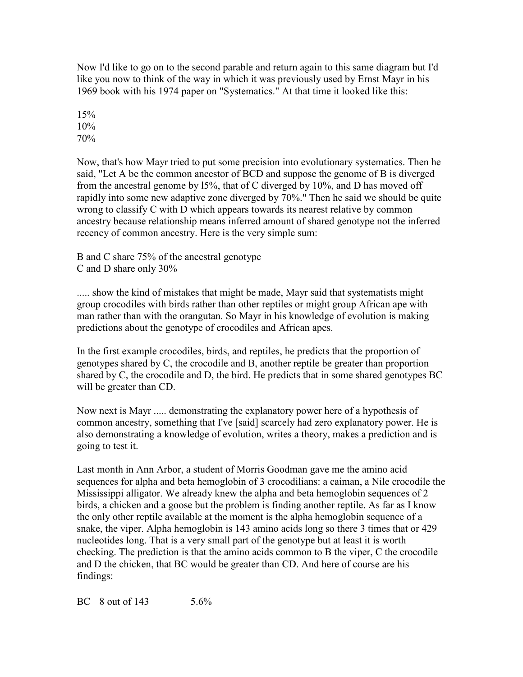Now I'd like to go on to the second parable and return again to this same diagram but I'd like you now to think of the way in which it was previously used by Ernst Mayr in his 1969 book with his 1974 paper on "Systematics." At that time it looked like this:

15% 10% 70%

Now, that's how Mayr tried to put some precision into evolutionary systematics. Then he said, "Let A be the common ancestor of BCD and suppose the genome of B is diverged from the ancestral genome by l5%, that of C diverged by 10%, and D has moved off rapidly into some new adaptive zone diverged by 70%." Then he said we should be quite wrong to classify C with D which appears towards its nearest relative by common ancestry because relationship means inferred amount of shared genotype not the inferred recency of common ancestry. Here is the very simple sum:

B and C share 75% of the ancestral genotype C and D share only 30%

..... show the kind of mistakes that might be made, Mayr said that systematists might group crocodiles with birds rather than other reptiles or might group African ape with man rather than with the orangutan. So Mayr in his knowledge of evolution is making predictions about the genotype of crocodiles and African apes.

In the first example crocodiles, birds, and reptiles, he predicts that the proportion of genotypes shared by C, the crocodile and B, another reptile be greater than proportion shared by C, the crocodile and D, the bird. He predicts that in some shared genotypes BC will be greater than CD.

Now next is Mayr ..... demonstrating the explanatory power here of a hypothesis of common ancestry, something that I've [said] scarcely had zero explanatory power. He is also demonstrating a knowledge of evolution, writes a theory, makes a prediction and is going to test it.

Last month in Ann Arbor, a student of Morris Goodman gave me the amino acid sequences for alpha and beta hemoglobin of 3 crocodilians: a caiman, a Nile crocodile the Mississippi alligator. We already knew the alpha and beta hemoglobin sequences of 2 birds, a chicken and a goose but the problem is finding another reptile. As far as I know the only other reptile available at the moment is the alpha hemoglobin sequence of a snake, the viper. Alpha hemoglobin is 143 amino acids long so there 3 times that or 429 nucleotides long. That is a very small part of the genotype but at least it is worth checking. The prediction is that the amino acids common to B the viper, C the crocodile and D the chicken, that BC would be greater than CD. And here of course are his findings:

BC 8 out of 143 5.6%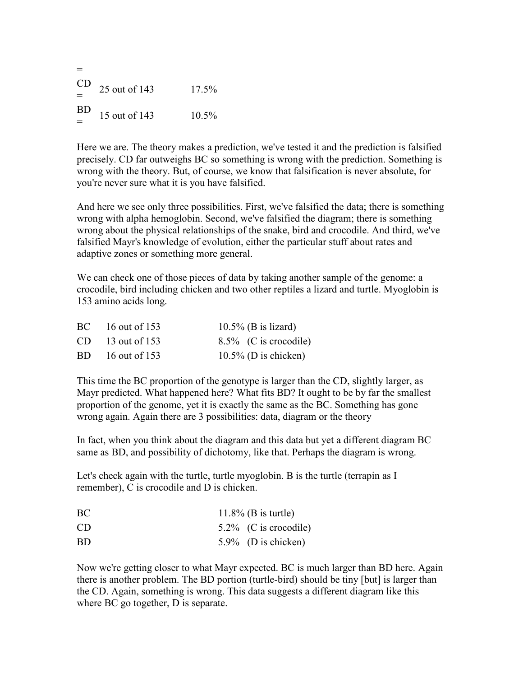= CD = 25 out of 143 17.5% BD = 15 out of 143 10.5%

Here we are. The theory makes a prediction, we've tested it and the prediction is falsified precisely. CD far outweighs BC so something is wrong with the prediction. Something is wrong with the theory. But, of course, we know that falsification is never absolute, for you're never sure what it is you have falsified.

And here we see only three possibilities. First, we've falsified the data; there is something wrong with alpha hemoglobin. Second, we've falsified the diagram; there is something wrong about the physical relationships of the snake, bird and crocodile. And third, we've falsified Mayr's knowledge of evolution, either the particular stuff about rates and adaptive zones or something more general.

We can check one of those pieces of data by taking another sample of the genome: a crocodile, bird including chicken and two other reptiles a lizard and turtle. Myoglobin is 153 amino acids long.

| BC  | 16 out of 153 | $10.5\%$ (B is lizard)   |
|-----|---------------|--------------------------|
| CD. | 13 out of 153 | $8.5\%$ (C is crocodile) |
| BD. | 16 out of 153 | $10.5\%$ (D is chicken)  |

This time the BC proportion of the genotype is larger than the CD, slightly larger, as Mayr predicted. What happened here? What fits BD? It ought to be by far the smallest proportion of the genome, yet it is exactly the same as the BC. Something has gone wrong again. Again there are 3 possibilities: data, diagram or the theory

In fact, when you think about the diagram and this data but yet a different diagram BC same as BD, and possibility of dichotomy, like that. Perhaps the diagram is wrong.

Let's check again with the turtle, turtle myoglobin. B is the turtle (terrapin as I remember), C is crocodile and D is chicken.

| BC        | $11.8\%$ (B is turtle) |
|-----------|------------------------|
| CD.       | 5.2% (C is crocodile)  |
| <b>BD</b> | 5.9% (D is chicken)    |

Now we're getting closer to what Mayr expected. BC is much larger than BD here. Again there is another problem. The BD portion (turtle-bird) should be tiny [but] is larger than the CD. Again, something is wrong. This data suggests a different diagram like this where BC go together, D is separate.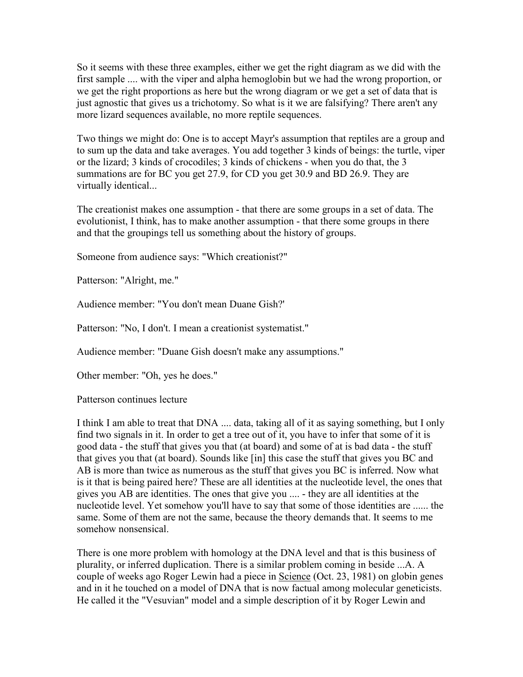So it seems with these three examples, either we get the right diagram as we did with the first sample .... with the viper and alpha hemoglobin but we had the wrong proportion, or we get the right proportions as here but the wrong diagram or we get a set of data that is just agnostic that gives us a trichotomy. So what is it we are falsifying? There aren't any more lizard sequences available, no more reptile sequences.

Two things we might do: One is to accept Mayr's assumption that reptiles are a group and to sum up the data and take averages. You add together 3 kinds of beings: the turtle, viper or the lizard; 3 kinds of crocodiles; 3 kinds of chickens - when you do that, the 3 summations are for BC you get 27.9, for CD you get 30.9 and BD 26.9. They are virtually identical...

The creationist makes one assumption - that there are some groups in a set of data. The evolutionist, I think, has to make another assumption - that there some groups in there and that the groupings tell us something about the history of groups.

Someone from audience says: "Which creationist?"

Patterson: "Alright, me."

Audience member: "You don't mean Duane Gish?'

Patterson: "No, I don't. I mean a creationist systematist."

Audience member: "Duane Gish doesn't make any assumptions."

Other member: "Oh, yes he does."

Patterson continues lecture

I think I am able to treat that DNA .... data, taking all of it as saying something, but I only find two signals in it. In order to get a tree out of it, you have to infer that some of it is good data - the stuff that gives you that (at board) and some of at is bad data - the stuff that gives you that (at board). Sounds like [in] this case the stuff that gives you BC and AB is more than twice as numerous as the stuff that gives you BC is inferred. Now what is it that is being paired here? These are all identities at the nucleotide level, the ones that gives you AB are identities. The ones that give you .... - they are all identities at the nucleotide level. Yet somehow you'll have to say that some of those identities are ...... the same. Some of them are not the same, because the theory demands that. It seems to me somehow nonsensical.

There is one more problem with homology at the DNA level and that is this business of plurality, or inferred duplication. There is a similar problem coming in beside ...A. A couple of weeks ago Roger Lewin had a piece in Science (Oct. 23, 1981) on globin genes and in it he touched on a model of DNA that is now factual among molecular geneticists. He called it the "Vesuvian" model and a simple description of it by Roger Lewin and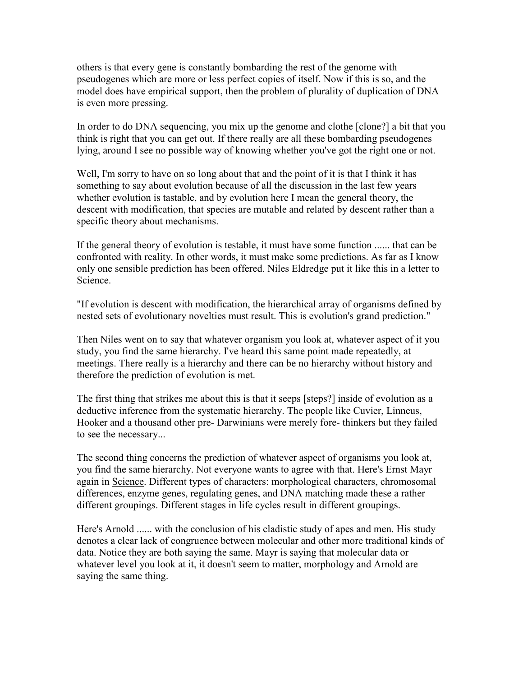others is that every gene is constantly bombarding the rest of the genome with pseudogenes which are more or less perfect copies of itself. Now if this is so, and the model does have empirical support, then the problem of plurality of duplication of DNA is even more pressing.

In order to do DNA sequencing, you mix up the genome and clothe [clone?] a bit that you think is right that you can get out. If there really are all these bombarding pseudogenes lying, around I see no possible way of knowing whether you've got the right one or not.

Well, I'm sorry to have on so long about that and the point of it is that I think it has something to say about evolution because of all the discussion in the last few years whether evolution is tastable, and by evolution here I mean the general theory, the descent with modification, that species are mutable and related by descent rather than a specific theory about mechanisms.

If the general theory of evolution is testable, it must have some function ...... that can be confronted with reality. In other words, it must make some predictions. As far as I know only one sensible prediction has been offered. Niles Eldredge put it like this in a letter to Science.

"If evolution is descent with modification, the hierarchical array of organisms defined by nested sets of evolutionary novelties must result. This is evolution's grand prediction."

Then Niles went on to say that whatever organism you look at, whatever aspect of it you study, you find the same hierarchy. I've heard this same point made repeatedly, at meetings. There really is a hierarchy and there can be no hierarchy without history and therefore the prediction of evolution is met.

The first thing that strikes me about this is that it seeps [steps?] inside of evolution as a deductive inference from the systematic hierarchy. The people like Cuvier, Linneus, Hooker and a thousand other pre- Darwinians were merely fore- thinkers but they failed to see the necessary...

The second thing concerns the prediction of whatever aspect of organisms you look at, you find the same hierarchy. Not everyone wants to agree with that. Here's Ernst Mayr again in Science. Different types of characters: morphological characters, chromosomal differences, enzyme genes, regulating genes, and DNA matching made these a rather different groupings. Different stages in life cycles result in different groupings.

Here's Arnold ...... with the conclusion of his cladistic study of apes and men. His study denotes a clear lack of congruence between molecular and other more traditional kinds of data. Notice they are both saying the same. Mayr is saying that molecular data or whatever level you look at it, it doesn't seem to matter, morphology and Arnold are saying the same thing.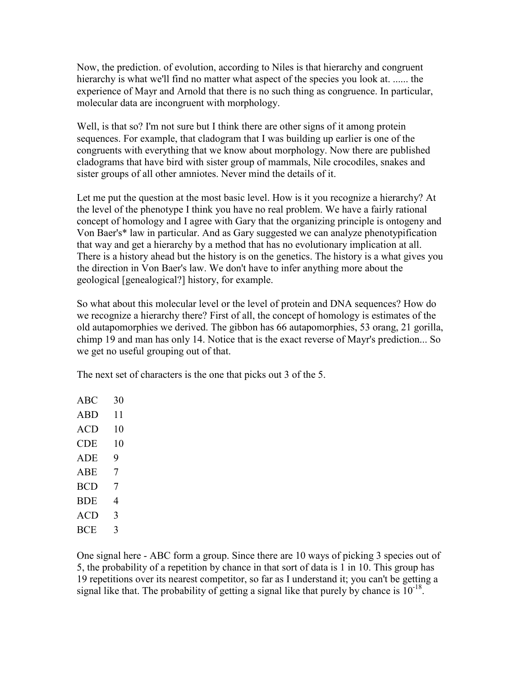Now, the prediction. of evolution, according to Niles is that hierarchy and congruent hierarchy is what we'll find no matter what aspect of the species you look at. ...... the experience of Mayr and Arnold that there is no such thing as congruence. In particular, molecular data are incongruent with morphology.

Well, is that so? I'm not sure but I think there are other signs of it among protein sequences. For example, that cladogram that I was building up earlier is one of the congruents with everything that we know about morphology. Now there are published cladograms that have bird with sister group of mammals, Nile crocodiles, snakes and sister groups of all other amniotes. Never mind the details of it.

Let me put the question at the most basic level. How is it you recognize a hierarchy? At the level of the phenotype I think you have no real problem. We have a fairly rational concept of homology and I agree with Gary that the organizing principle is ontogeny and Von Baer's\* law in particular. And as Gary suggested we can analyze phenotypification that way and get a hierarchy by a method that has no evolutionary implication at all. There is a history ahead but the history is on the genetics. The history is a what gives you the direction in Von Baer's law. We don't have to infer anything more about the geological [genealogical?] history, for example.

So what about this molecular level or the level of protein and DNA sequences? How do we recognize a hierarchy there? First of all, the concept of homology is estimates of the old autapomorphies we derived. The gibbon has 66 autapomorphies, 53 orang, 21 gorilla, chimp 19 and man has only 14. Notice that is the exact reverse of Mayr's prediction... So we get no useful grouping out of that.

The next set of characters is the one that picks out 3 of the 5.

ABC 30 ABD 11  $ACD = 10$  $CDE = 10$ ADE 9 ABE 7 BCD 7 BDE 4 ACD 3 BCE 3

One signal here - ABC form a group. Since there are 10 ways of picking 3 species out of 5, the probability of a repetition by chance in that sort of data is 1 in 10. This group has 19 repetitions over its nearest competitor, so far as I understand it; you can't be getting a signal like that. The probability of getting a signal like that purely by chance is  $10^{-18}$ .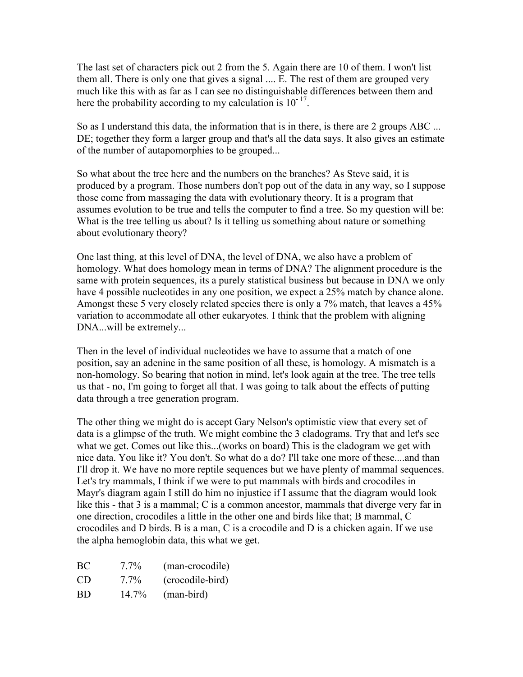The last set of characters pick out 2 from the 5. Again there are 10 of them. I won't list them all. There is only one that gives a signal .... E. The rest of them are grouped very much like this with as far as I can see no distinguishable differences between them and here the probability according to my calculation is  $10^{-17}$ .

So as I understand this data, the information that is in there, is there are 2 groups ABC ... DE; together they form a larger group and that's all the data says. It also gives an estimate of the number of autapomorphies to be grouped...

So what about the tree here and the numbers on the branches? As Steve said, it is produced by a program. Those numbers don't pop out of the data in any way, so I suppose those come from massaging the data with evolutionary theory. It is a program that assumes evolution to be true and tells the computer to find a tree. So my question will be: What is the tree telling us about? Is it telling us something about nature or something about evolutionary theory?

One last thing, at this level of DNA, the level of DNA, we also have a problem of homology. What does homology mean in terms of DNA? The alignment procedure is the same with protein sequences, its a purely statistical business but because in DNA we only have 4 possible nucleotides in any one position, we expect a 25% match by chance alone. Amongst these 5 very closely related species there is only a 7% match, that leaves a 45% variation to accommodate all other eukaryotes. I think that the problem with aligning DNA...will be extremely...

Then in the level of individual nucleotides we have to assume that a match of one position, say an adenine in the same position of all these, is homology. A mismatch is a non-homology. So bearing that notion in mind, let's look again at the tree. The tree tells us that - no, I'm going to forget all that. I was going to talk about the effects of putting data through a tree generation program.

The other thing we might do is accept Gary Nelson's optimistic view that every set of data is a glimpse of the truth. We might combine the 3 cladograms. Try that and let's see what we get. Comes out like this...(works on board) This is the cladogram we get with nice data. You like it? You don't. So what do a do? I'll take one more of these....and than I'll drop it. We have no more reptile sequences but we have plenty of mammal sequences. Let's try mammals, I think if we were to put mammals with birds and crocodiles in Mayr's diagram again I still do him no injustice if I assume that the diagram would look like this - that 3 is a mammal; C is a common ancestor, mammals that diverge very far in one direction, crocodiles a little in the other one and birds like that; B mammal, C crocodiles and D birds. B is a man, C is a crocodile and D is a chicken again. If we use the alpha hemoglobin data, this what we get.

| BС | $7.7\%$ | (man-crocodile)  |
|----|---------|------------------|
| CD | $7.7\%$ | (crocodile-bird) |
| BD | 14.7%   | (man-bird)       |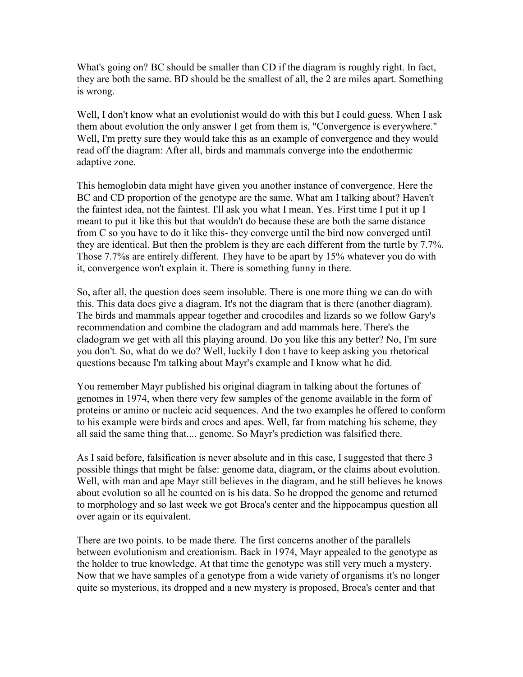What's going on? BC should be smaller than CD if the diagram is roughly right. In fact, they are both the same. BD should be the smallest of all, the 2 are miles apart. Something is wrong.

Well, I don't know what an evolutionist would do with this but I could guess. When I ask them about evolution the only answer I get from them is, "Convergence is everywhere." Well, I'm pretty sure they would take this as an example of convergence and they would read off the diagram: After all, birds and mammals converge into the endothermic adaptive zone.

This hemoglobin data might have given you another instance of convergence. Here the BC and CD proportion of the genotype are the same. What am I talking about? Haven't the faintest idea, not the faintest. I'll ask you what I mean. Yes. First time I put it up I meant to put it like this but that wouldn't do because these are both the same distance from C so you have to do it like this- they converge until the bird now converged until they are identical. But then the problem is they are each different from the turtle by 7.7%. Those 7.7%s are entirely different. They have to be apart by 15% whatever you do with it, convergence won't explain it. There is something funny in there.

So, after all, the question does seem insoluble. There is one more thing we can do with this. This data does give a diagram. It's not the diagram that is there (another diagram). The birds and mammals appear together and crocodiles and lizards so we follow Gary's recommendation and combine the cladogram and add mammals here. There's the cladogram we get with all this playing around. Do you like this any better? No, I'm sure you don't. So, what do we do? Well, luckily I don t have to keep asking you rhetorical questions because I'm talking about Mayr's example and I know what he did.

You remember Mayr published his original diagram in talking about the fortunes of genomes in 1974, when there very few samples of the genome available in the form of proteins or amino or nucleic acid sequences. And the two examples he offered to conform to his example were birds and crocs and apes. Well, far from matching his scheme, they all said the same thing that.... genome. So Mayr's prediction was falsified there.

As I said before, falsification is never absolute and in this case, I suggested that there 3 possible things that might be false: genome data, diagram, or the claims about evolution. Well, with man and ape Mayr still believes in the diagram, and he still believes he knows about evolution so all he counted on is his data. So he dropped the genome and returned to morphology and so last week we got Broca's center and the hippocampus question all over again or its equivalent.

There are two points. to be made there. The first concerns another of the parallels between evolutionism and creationism. Back in 1974, Mayr appealed to the genotype as the holder to true knowledge. At that time the genotype was still very much a mystery. Now that we have samples of a genotype from a wide variety of organisms it's no longer quite so mysterious, its dropped and a new mystery is proposed, Broca's center and that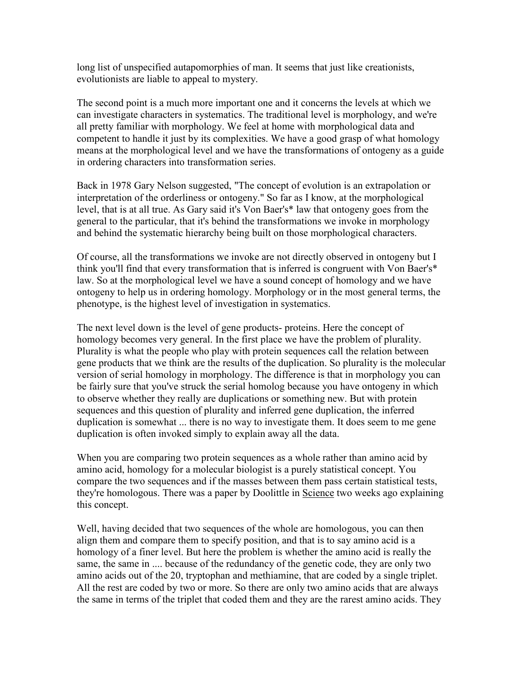long list of unspecified autapomorphies of man. It seems that just like creationists, evolutionists are liable to appeal to mystery.

The second point is a much more important one and it concerns the levels at which we can investigate characters in systematics. The traditional level is morphology, and we're all pretty familiar with morphology. We feel at home with morphological data and competent to handle it just by its complexities. We have a good grasp of what homology means at the morphological level and we have the transformations of ontogeny as a guide in ordering characters into transformation series.

Back in 1978 Gary Nelson suggested, "The concept of evolution is an extrapolation or interpretation of the orderliness or ontogeny." So far as I know, at the morphological level, that is at all true. As Gary said it's Von Baer's\* law that ontogeny goes from the general to the particular, that it's behind the transformations we invoke in morphology and behind the systematic hierarchy being built on those morphological characters.

Of course, all the transformations we invoke are not directly observed in ontogeny but I think you'll find that every transformation that is inferred is congruent with Von Baer's\* law. So at the morphological level we have a sound concept of homology and we have ontogeny to help us in ordering homology. Morphology or in the most general terms, the phenotype, is the highest level of investigation in systematics.

The next level down is the level of gene products- proteins. Here the concept of homology becomes very general. In the first place we have the problem of plurality. Plurality is what the people who play with protein sequences call the relation between gene products that we think are the results of the duplication. So plurality is the molecular version of serial homology in morphology. The difference is that in morphology you can be fairly sure that you've struck the serial homolog because you have ontogeny in which to observe whether they really are duplications or something new. But with protein sequences and this question of plurality and inferred gene duplication, the inferred duplication is somewhat ... there is no way to investigate them. It does seem to me gene duplication is often invoked simply to explain away all the data.

When you are comparing two protein sequences as a whole rather than amino acid by amino acid, homology for a molecular biologist is a purely statistical concept. You compare the two sequences and if the masses between them pass certain statistical tests, they're homologous. There was a paper by Doolittle in Science two weeks ago explaining this concept.

Well, having decided that two sequences of the whole are homologous, you can then align them and compare them to specify position, and that is to say amino acid is a homology of a finer level. But here the problem is whether the amino acid is really the same, the same in .... because of the redundancy of the genetic code, they are only two amino acids out of the 20, tryptophan and methiamine, that are coded by a single triplet. All the rest are coded by two or more. So there are only two amino acids that are always the same in terms of the triplet that coded them and they are the rarest amino acids. They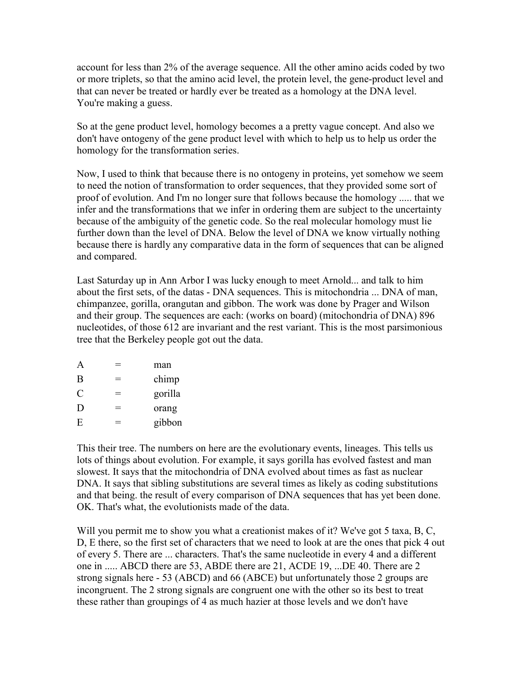account for less than 2% of the average sequence. All the other amino acids coded by two or more triplets, so that the amino acid level, the protein level, the gene-product level and that can never be treated or hardly ever be treated as a homology at the DNA level. You're making a guess.

So at the gene product level, homology becomes a a pretty vague concept. And also we don't have ontogeny of the gene product level with which to help us to help us order the homology for the transformation series.

Now, I used to think that because there is no ontogeny in proteins, yet somehow we seem to need the notion of transformation to order sequences, that they provided some sort of proof of evolution. And I'm no longer sure that follows because the homology ..... that we infer and the transformations that we infer in ordering them are subject to the uncertainty because of the ambiguity of the genetic code. So the real molecular homology must lie further down than the level of DNA. Below the level of DNA we know virtually nothing because there is hardly any comparative data in the form of sequences that can be aligned and compared.

Last Saturday up in Ann Arbor I was lucky enough to meet Arnold... and talk to him about the first sets, of the datas - DNA sequences. This is mitochondria ... DNA of man, chimpanzee, gorilla, orangutan and gibbon. The work was done by Prager and Wilson and their group. The sequences are each: (works on board) (mitochondria of DNA) 896 nucleotides, of those 612 are invariant and the rest variant. This is the most parsimonious tree that the Berkeley people got out the data.

| A |   | man     |
|---|---|---------|
| B |   | chimp   |
| C | — | gorilla |
| Ð | = | orang   |
| E |   | gibbon  |

This their tree. The numbers on here are the evolutionary events, lineages. This tells us lots of things about evolution. For example, it says gorilla has evolved fastest and man slowest. It says that the mitochondria of DNA evolved about times as fast as nuclear DNA. It says that sibling substitutions are several times as likely as coding substitutions and that being. the result of every comparison of DNA sequences that has yet been done. OK. That's what, the evolutionists made of the data.

Will you permit me to show you what a creationist makes of it? We've got 5 taxa, B, C, D, E there, so the first set of characters that we need to look at are the ones that pick 4 out of every 5. There are ... characters. That's the same nucleotide in every 4 and a different one in ..... ABCD there are 53, ABDE there are 21, ACDE 19, ...DE 40. There are 2 strong signals here - 53 (ABCD) and 66 (ABCE) but unfortunately those 2 groups are incongruent. The 2 strong signals are congruent one with the other so its best to treat these rather than groupings of 4 as much hazier at those levels and we don't have